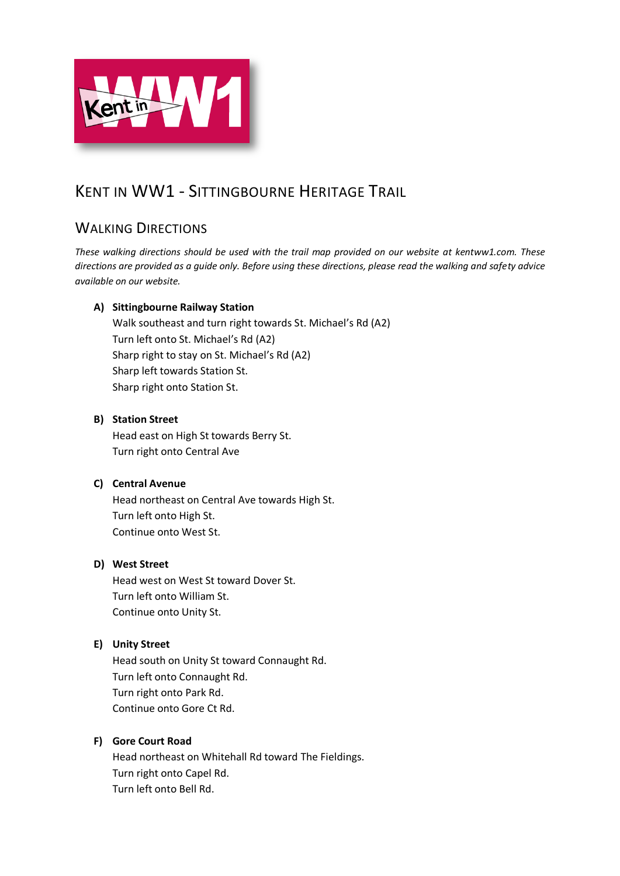

# KENT IN WW1 - SITTINGBOURNE HERITAGE TRAIL

## WALKING DIRECTIONS

*These walking directions should be used with the trail map provided on our website at kentww1.com. These directions are provided as a guide only. Before using these directions, please read the walking and safety advice available on our website.*

## **A) Sittingbourne Railway Station**

Walk southeast and turn right towards St. Michael's Rd (A2) Turn left onto St. Michael's Rd (A2) Sharp right to stay on St. Michael's Rd (A2) Sharp left towards Station St. Sharp right onto Station St.

## **B) Station Street**

Head east on High St towards Berry St. Turn right onto Central Ave

### **C) Central Avenue**

Head northeast on Central Ave towards High St. Turn left onto High St. Continue onto West St.

## **D) West Street**

Head west on West St toward Dover St. Turn left onto William St. Continue onto Unity St.

## **E) Unity Street**

Head south on Unity St toward Connaught Rd. Turn left onto Connaught Rd. Turn right onto Park Rd. Continue onto Gore Ct Rd.

### **F) Gore Court Road**

Head northeast on Whitehall Rd toward The Fieldings. Turn right onto Capel Rd. Turn left onto Bell Rd.